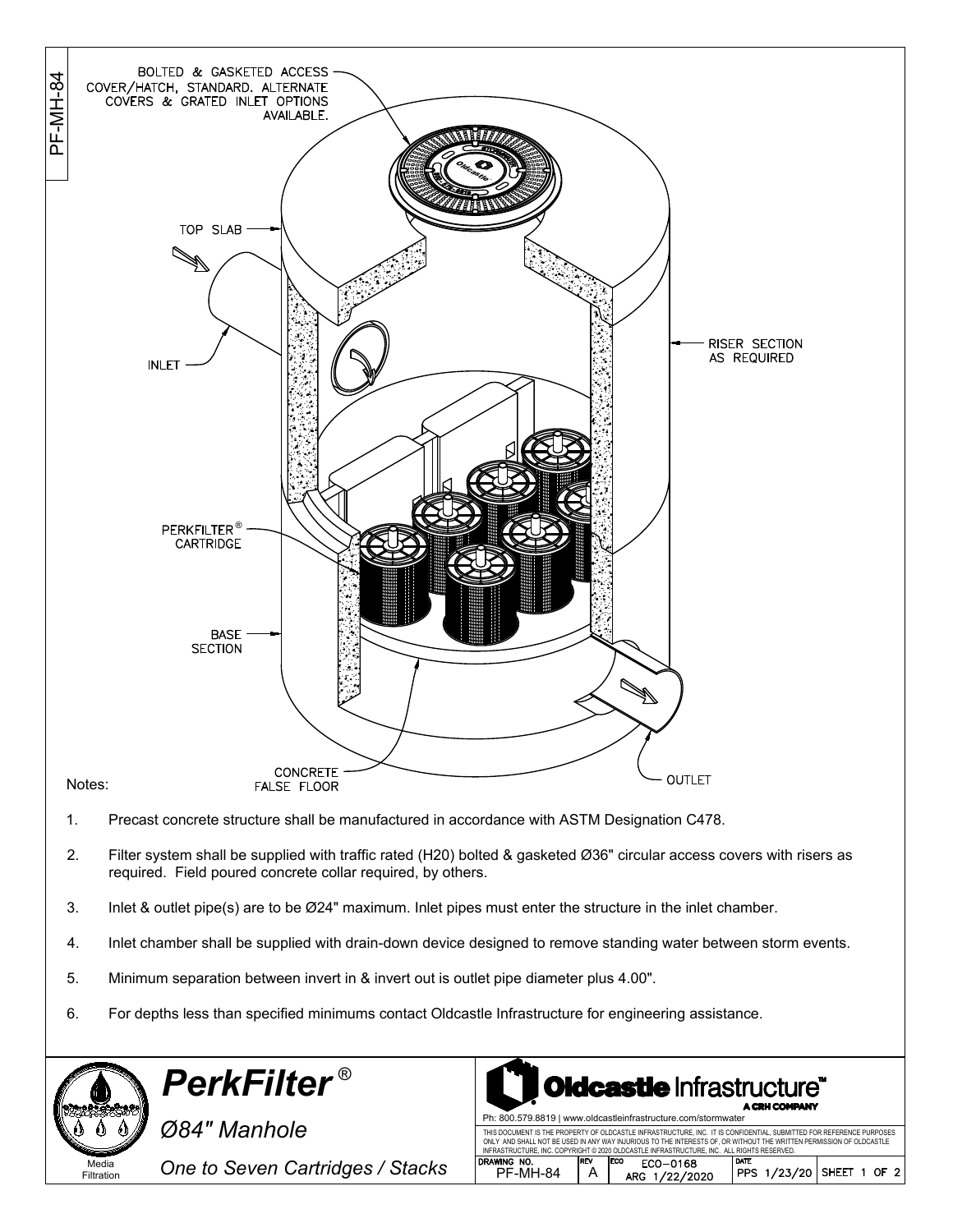